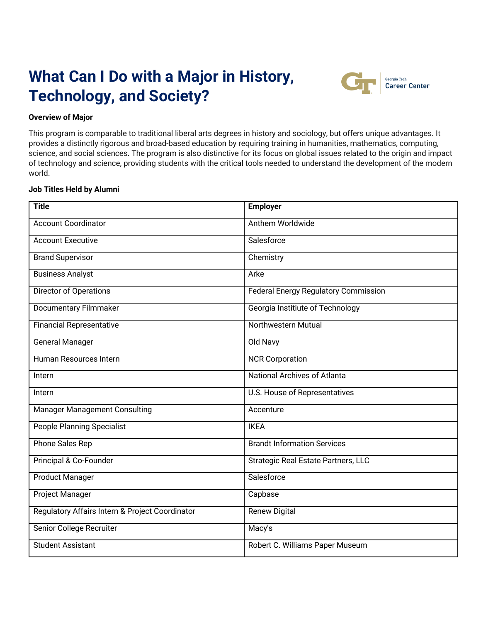# **What Can I Do with a Major in History, Technology, and Society?**



## **Overview of Major**

This program is comparable to traditional liberal arts degrees in history and sociology, but offers unique advantages. It provides a distinctly rigorous and broad-based education by requiring training in humanities, mathematics, computing, science, and social sciences. The program is also distinctive for its focus on global issues related to the origin and impact of technology and science, providing students with the critical tools needed to understand the development of the modern world.

#### **Job Titles Held by Alumni**

| <b>Title</b>                                    | <b>Employer</b>                             |
|-------------------------------------------------|---------------------------------------------|
| <b>Account Coordinator</b>                      | Anthem Worldwide                            |
| <b>Account Executive</b>                        | Salesforce                                  |
| <b>Brand Supervisor</b>                         | Chemistry                                   |
| <b>Business Analyst</b>                         | Arke                                        |
| Director of Operations                          | <b>Federal Energy Regulatory Commission</b> |
| <b>Documentary Filmmaker</b>                    | Georgia Institiute of Technology            |
| <b>Financial Representative</b>                 | Northwestern Mutual                         |
| <b>General Manager</b>                          | Old Navy                                    |
| Human Resources Intern                          | <b>NCR Corporation</b>                      |
| Intern                                          | <b>National Archives of Atlanta</b>         |
| Intern                                          | <b>U.S. House of Representatives</b>        |
| <b>Manager Management Consulting</b>            | Accenture                                   |
| <b>People Planning Specialist</b>               | <b>IKEA</b>                                 |
| Phone Sales Rep                                 | <b>Brandt Information Services</b>          |
| Principal & Co-Founder                          | Strategic Real Estate Partners, LLC         |
| <b>Product Manager</b>                          | Salesforce                                  |
| <b>Project Manager</b>                          | Capbase                                     |
| Regulatory Affairs Intern & Project Coordinator | <b>Renew Digital</b>                        |
| Senior College Recruiter                        | Macy's                                      |
| <b>Student Assistant</b>                        | Robert C. Williams Paper Museum             |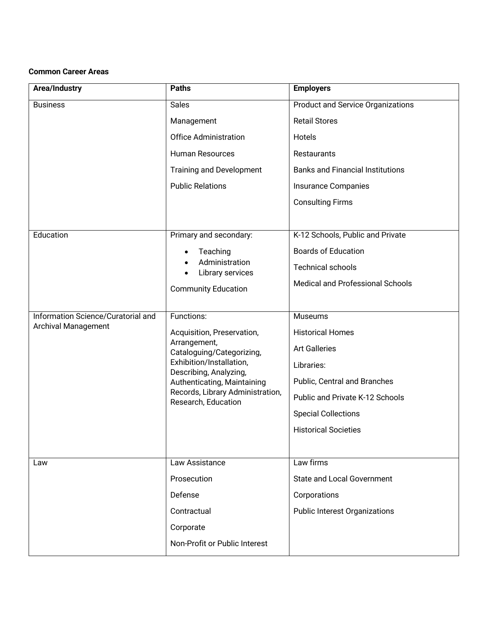## **Common Career Areas**

| Area/Industry                      | <b>Paths</b>                                                                                                                                                                                                            | <b>Employers</b>                         |
|------------------------------------|-------------------------------------------------------------------------------------------------------------------------------------------------------------------------------------------------------------------------|------------------------------------------|
| <b>Business</b>                    | <b>Sales</b>                                                                                                                                                                                                            | <b>Product and Service Organizations</b> |
|                                    | Management                                                                                                                                                                                                              | <b>Retail Stores</b>                     |
|                                    | <b>Office Administration</b>                                                                                                                                                                                            | Hotels                                   |
|                                    | <b>Human Resources</b>                                                                                                                                                                                                  | Restaurants                              |
|                                    | Training and Development                                                                                                                                                                                                | <b>Banks and Financial Institutions</b>  |
|                                    | <b>Public Relations</b>                                                                                                                                                                                                 | <b>Insurance Companies</b>               |
|                                    |                                                                                                                                                                                                                         | <b>Consulting Firms</b>                  |
|                                    |                                                                                                                                                                                                                         |                                          |
| Education                          | Primary and secondary:                                                                                                                                                                                                  | K-12 Schools, Public and Private         |
|                                    | Teaching<br>$\bullet$<br>Administration<br>Library services<br>$\bullet$                                                                                                                                                | <b>Boards of Education</b>               |
|                                    |                                                                                                                                                                                                                         | <b>Technical schools</b>                 |
|                                    | <b>Community Education</b>                                                                                                                                                                                              | Medical and Professional Schools         |
|                                    |                                                                                                                                                                                                                         |                                          |
| Information Science/Curatorial and | Functions:                                                                                                                                                                                                              | <b>Museums</b>                           |
| Archival Management                | Acquisition, Preservation,<br>Arrangement,<br>Cataloguing/Categorizing,<br>Exhibition/Installation,<br>Describing, Analyzing,<br>Authenticating, Maintaining<br>Records, Library Administration,<br>Research, Education | <b>Historical Homes</b>                  |
|                                    |                                                                                                                                                                                                                         | <b>Art Galleries</b>                     |
|                                    |                                                                                                                                                                                                                         | Libraries:                               |
|                                    |                                                                                                                                                                                                                         | Public, Central and Branches             |
|                                    |                                                                                                                                                                                                                         | Public and Private K-12 Schools          |
|                                    |                                                                                                                                                                                                                         | <b>Special Collections</b>               |
|                                    |                                                                                                                                                                                                                         | <b>Historical Societies</b>              |
|                                    |                                                                                                                                                                                                                         |                                          |
| Law                                | Law Assistance                                                                                                                                                                                                          | Law firms                                |
|                                    | Prosecution                                                                                                                                                                                                             | <b>State and Local Government</b>        |
|                                    | Defense                                                                                                                                                                                                                 | Corporations                             |
|                                    | Contractual                                                                                                                                                                                                             | <b>Public Interest Organizations</b>     |
|                                    | Corporate                                                                                                                                                                                                               |                                          |
|                                    | Non-Profit or Public Interest                                                                                                                                                                                           |                                          |
|                                    |                                                                                                                                                                                                                         |                                          |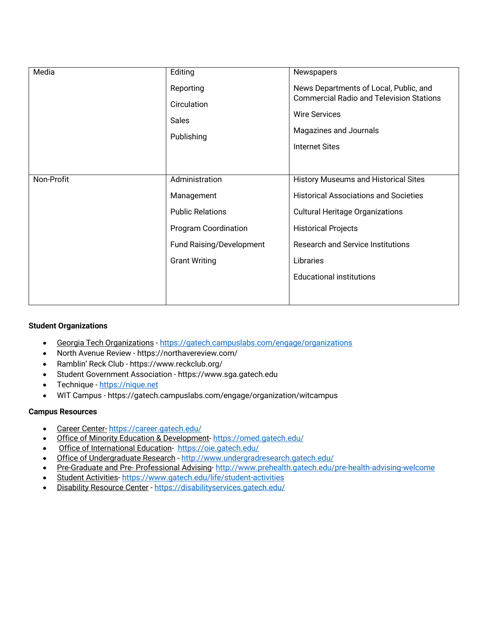| Media      | Editing                                                | Newspapers                                                                                                                                                           |
|------------|--------------------------------------------------------|----------------------------------------------------------------------------------------------------------------------------------------------------------------------|
|            | Reporting<br>Circulation<br><b>Sales</b><br>Publishing | News Departments of Local, Public, and<br><b>Commercial Radio and Television Stations</b><br><b>Wire Services</b><br>Magazines and Journals<br><b>Internet Sites</b> |
| Non-Profit | Administration                                         | History Museums and Historical Sites                                                                                                                                 |
|            | Management                                             | <b>Historical Associations and Societies</b>                                                                                                                         |
|            | <b>Public Relations</b>                                | <b>Cultural Heritage Organizations</b>                                                                                                                               |
|            | Program Coordination                                   | <b>Historical Projects</b>                                                                                                                                           |
|            | Fund Raising/Development                               | <b>Research and Service Institutions</b>                                                                                                                             |
|            | <b>Grant Writing</b>                                   | Libraries                                                                                                                                                            |
|            |                                                        | <b>Educational institutions</b>                                                                                                                                      |
|            |                                                        |                                                                                                                                                                      |

# **Student Organizations**

- Georgia Tech Organizations https://gatech.campuslabs.com/engage/organizations
- North Avenue Review https://northavereview.com/
- Ramblin' Reck Club https://www.reckclub.org/
- Student Government Association https://www.sga.gatech.edu
- Technique https://nique.net
- WIT Campus https://gatech.campuslabs.com/engage/organization/witcampus

# **Campus Resources**

- Career Center- https://career.gatech.edu/
- Office of Minority Education & Development-https://omed.gatech.edu/
- Office of International Education-https://oie.gatech.edu/
- Office of Undergraduate Research http://www.undergradresearch.gatech.edu/
- Pre-Graduate and Pre- Professional Advising- http://www.prehealth.gatech.edu/pre-health-advising-welcome
- Student Activities- https://www.gatech.edu/life/student-activities
- Disability Resource Center https://disabilityservices.gatech.edu/